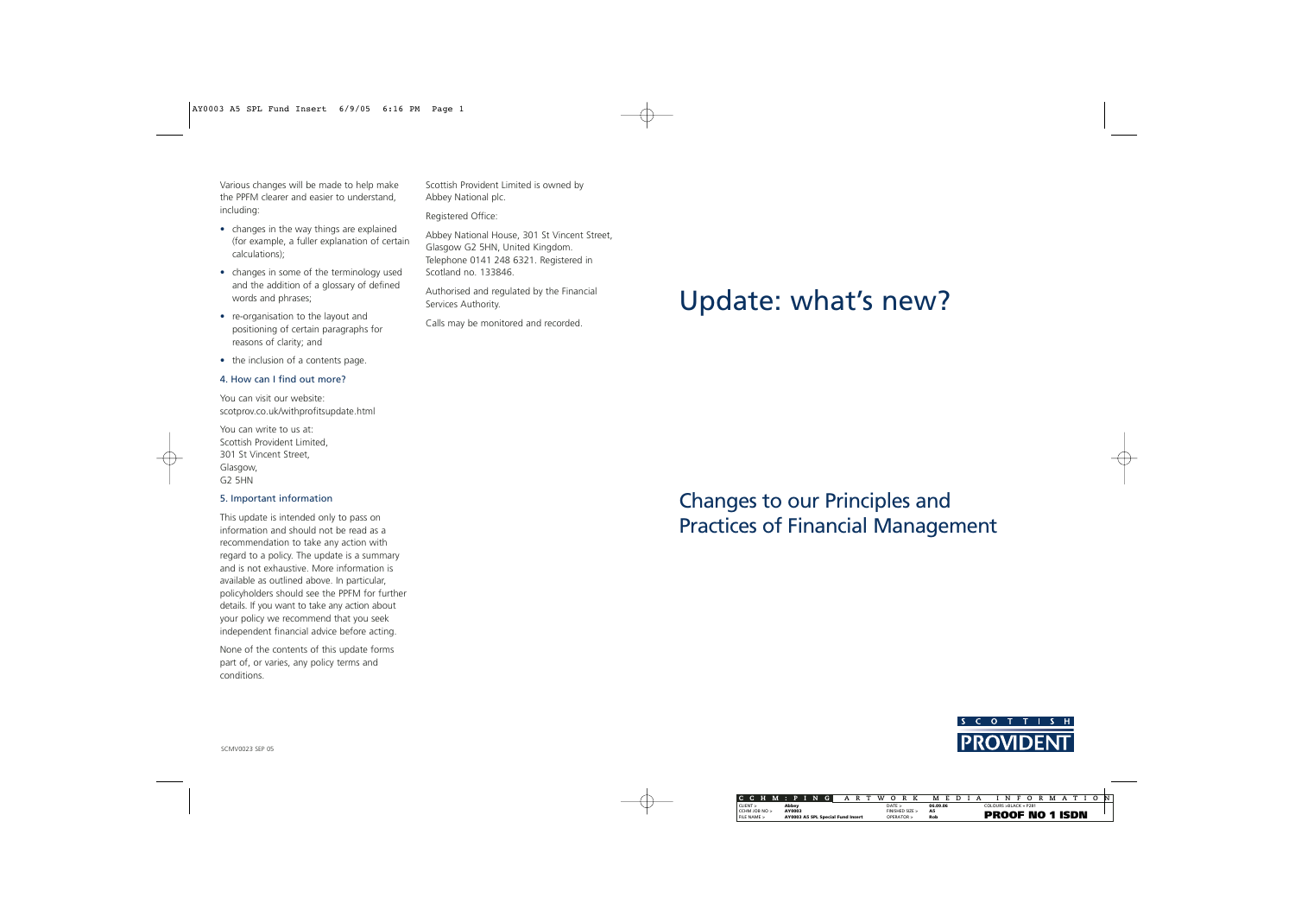Various changes will be made to help make the PPFM clearer and easier to understand, including:

- changes in the way things are explained (for example, a fuller explanation of certain calculations);
- changes in some of the terminology used and the addition of a glossary of defined words and phrases;
- re-organisation to the layout and positioning of certain paragraphs for reasons of clarity; and
- the inclusion of a contents page.

#### 4. How can I find out more?

You can visit our website: scotprov.co.uk/withprofitsupdate.html

You can write to us at: Scottish Provident Limited, 301 St Vincent Street, Glasgow, G2 5HN

## 5. Important information

This update is intended only to pass on information and should not be read as a recommendation to take any action with regard to a policy. The update is a summary and is not exhaustive. More information is available as outlined above. In particular, policyholders should see the PPFM for further details. If you want to take any action about your policy we recommend that you seek independent financial advice before acting.

None of the contents of this update forms part of, or varies, any policy terms and conditions.

Scottish Provident Limited is owned by Abbey National plc.

Registered Office:

Abbey National House, 301 St Vincent Street, Glasgow G2 5HN, United Kingdom. Telephone 0141 248 6321. Registered in Scotland no. 133846.

Authorised and regulated by the Financial Services Authority.

Calls may be monitored and recorded.

# Update: what's new?

Changes to our Principles and Practices of Financial Management



SCMV0023 SEP 05

|               |  |  |  |  |                                   |  | CCHM:PIN | <b>G</b> | А |  |  | w | <sup>o</sup>    |  |  |  |           | MED. |  |  |                              |  |  | NFO | R | M |  |  |  |  |  |
|---------------|--|--|--|--|-----------------------------------|--|----------|----------|---|--|--|---|-----------------|--|--|--|-----------|------|--|--|------------------------------|--|--|-----|---|---|--|--|--|--|--|
| CLIENT        |  |  |  |  | Abbey                             |  |          |          |   |  |  |   | DATF >          |  |  |  | 06.09.06  |      |  |  | $COI$ OURS $>$ RI ACK + P281 |  |  |     |   |   |  |  |  |  |  |
| CCHM IOB NO > |  |  |  |  | AY0003                            |  |          |          |   |  |  |   | FINISHED SIZE > |  |  |  | <b>A5</b> |      |  |  |                              |  |  |     |   |   |  |  |  |  |  |
| FILE NAME >   |  |  |  |  | AY0003 A5 SPL Special Fund Insert |  |          |          |   |  |  |   | OPFRATOR >      |  |  |  | Rob       |      |  |  | <b>PROOF NO 1 ISDN</b>       |  |  |     |   |   |  |  |  |  |  |